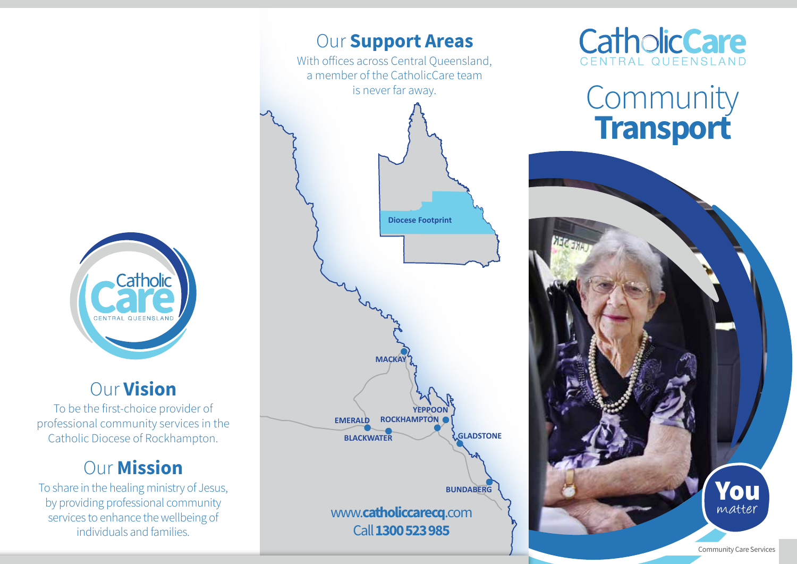

## Our Vision

To be the first-choice provider of professional community services in the Catholic Diocese of Rockhampton.

# **Our Mission**

To share in the healing ministry of Jesus, by providing professional community services to enhance the wellbeing of individuals and families.





# **Community Transport**